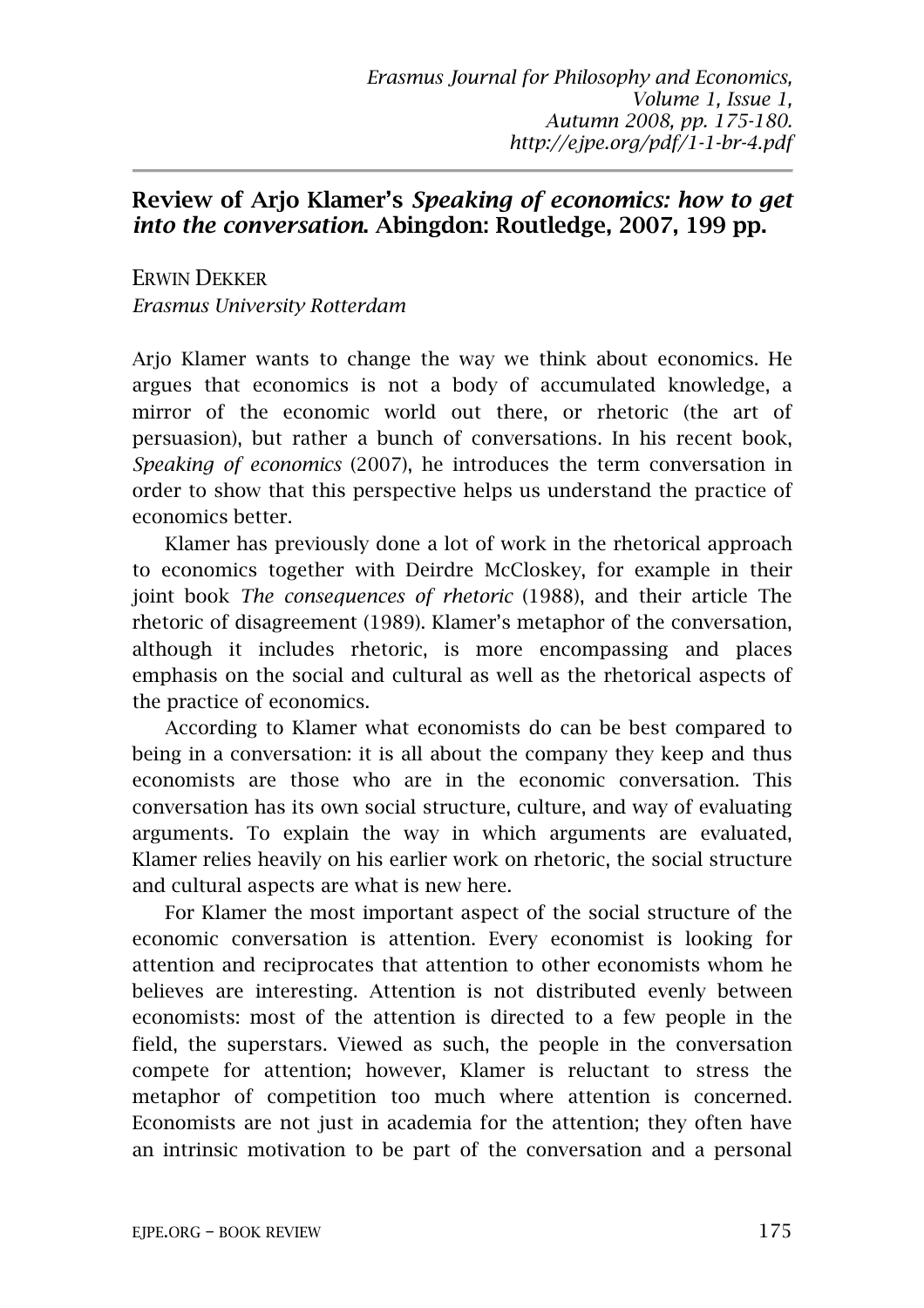## **Review of Arjo Klamer's** *Speaking of economics: how to get into the conversation***. Abingdon: Routledge, 2007, 199 pp.**

ERWIN DEKKER *Erasmus University Rotterdam* 

Arjo Klamer wants to change the way we think about economics. He argues that economics is not a body of accumulated knowledge, a mirror of the economic world out there, or rhetoric (the art of persuasion), but rather a bunch of conversations. In his recent book, *Speaking of economics* (2007), he introduces the term conversation in order to show that this perspective helps us understand the practice of economics better.

Klamer has previously done a lot of work in the rhetorical approach to economics together with Deirdre McCloskey, for example in their joint book *The consequences of rhetoric* (1988), and their article The rhetoric of disagreement (1989). Klamer's metaphor of the conversation, although it includes rhetoric, is more encompassing and places emphasis on the social and cultural as well as the rhetorical aspects of the practice of economics.

According to Klamer what economists do can be best compared to being in a conversation: it is all about the company they keep and thus economists are those who are in the economic conversation. This conversation has its own social structure, culture, and way of evaluating arguments. To explain the way in which arguments are evaluated, Klamer relies heavily on his earlier work on rhetoric, the social structure and cultural aspects are what is new here.

For Klamer the most important aspect of the social structure of the economic conversation is attention. Every economist is looking for attention and reciprocates that attention to other economists whom he believes are interesting. Attention is not distributed evenly between economists: most of the attention is directed to a few people in the field, the superstars. Viewed as such, the people in the conversation compete for attention; however, Klamer is reluctant to stress the metaphor of competition too much where attention is concerned. Economists are not just in academia for the attention; they often have an intrinsic motivation to be part of the conversation and a personal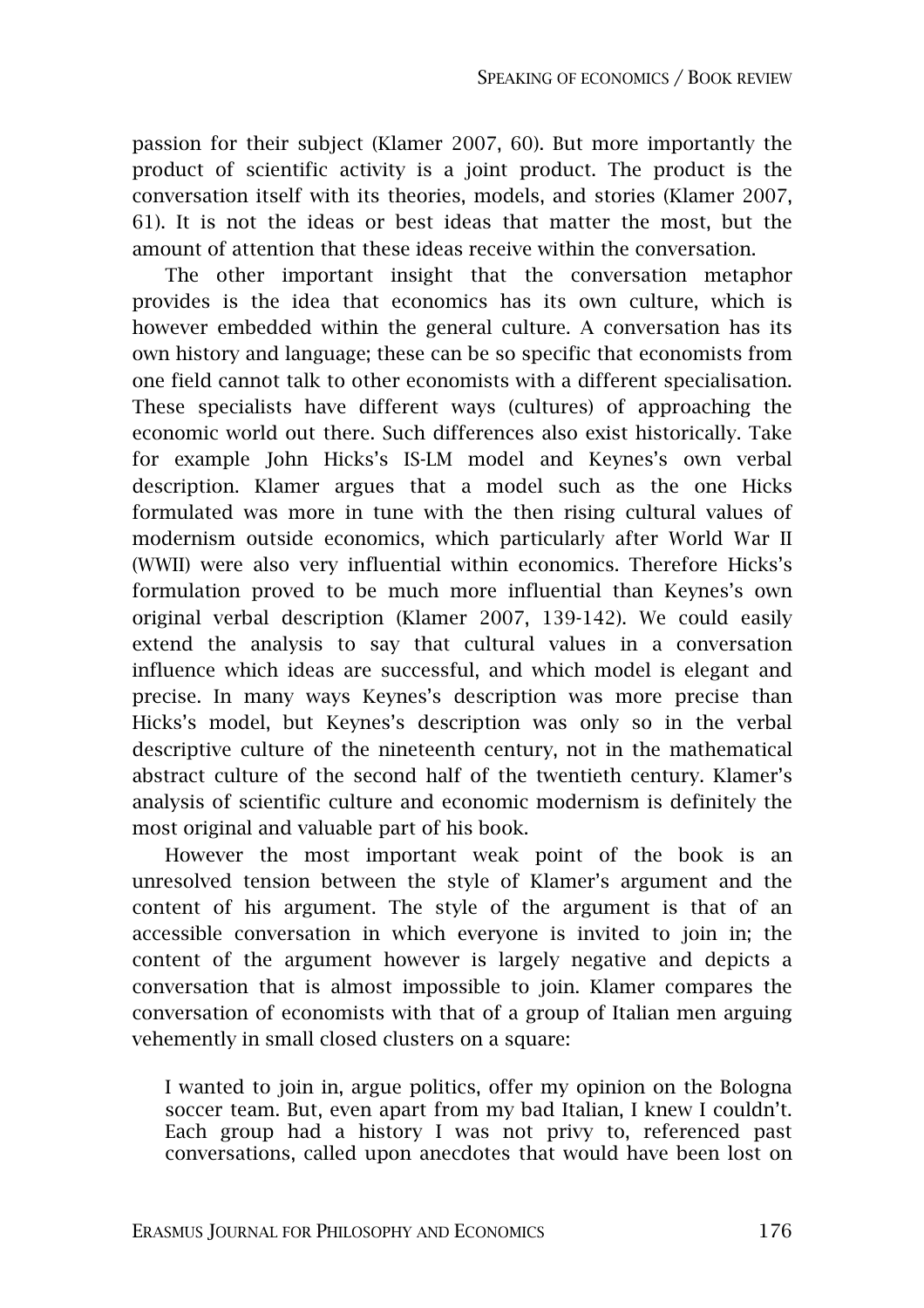passion for their subject (Klamer 2007, 60). But more importantly the product of scientific activity is a joint product. The product is the conversation itself with its theories, models, and stories (Klamer 2007, 61). It is not the ideas or best ideas that matter the most, but the amount of attention that these ideas receive within the conversation.

The other important insight that the conversation metaphor provides is the idea that economics has its own culture, which is however embedded within the general culture. A conversation has its own history and language; these can be so specific that economists from one field cannot talk to other economists with a different specialisation. These specialists have different ways (cultures) of approaching the economic world out there. Such differences also exist historically. Take for example John Hicks's IS-LM model and Keynes's own verbal description. Klamer argues that a model such as the one Hicks formulated was more in tune with the then rising cultural values of modernism outside economics, which particularly after World War II (WWII) were also very influential within economics. Therefore Hicks's formulation proved to be much more influential than Keynes's own original verbal description (Klamer 2007, 139-142). We could easily extend the analysis to say that cultural values in a conversation influence which ideas are successful, and which model is elegant and precise. In many ways Keynes's description was more precise than Hicks's model, but Keynes's description was only so in the verbal descriptive culture of the nineteenth century, not in the mathematical abstract culture of the second half of the twentieth century. Klamer's analysis of scientific culture and economic modernism is definitely the most original and valuable part of his book.

However the most important weak point of the book is an unresolved tension between the style of Klamer's argument and the content of his argument. The style of the argument is that of an accessible conversation in which everyone is invited to join in; the content of the argument however is largely negative and depicts a conversation that is almost impossible to join. Klamer compares the conversation of economists with that of a group of Italian men arguing vehemently in small closed clusters on a square:

I wanted to join in, argue politics, offer my opinion on the Bologna soccer team. But, even apart from my bad Italian, I knew I couldn't. Each group had a history I was not privy to, referenced past conversations, called upon anecdotes that would have been lost on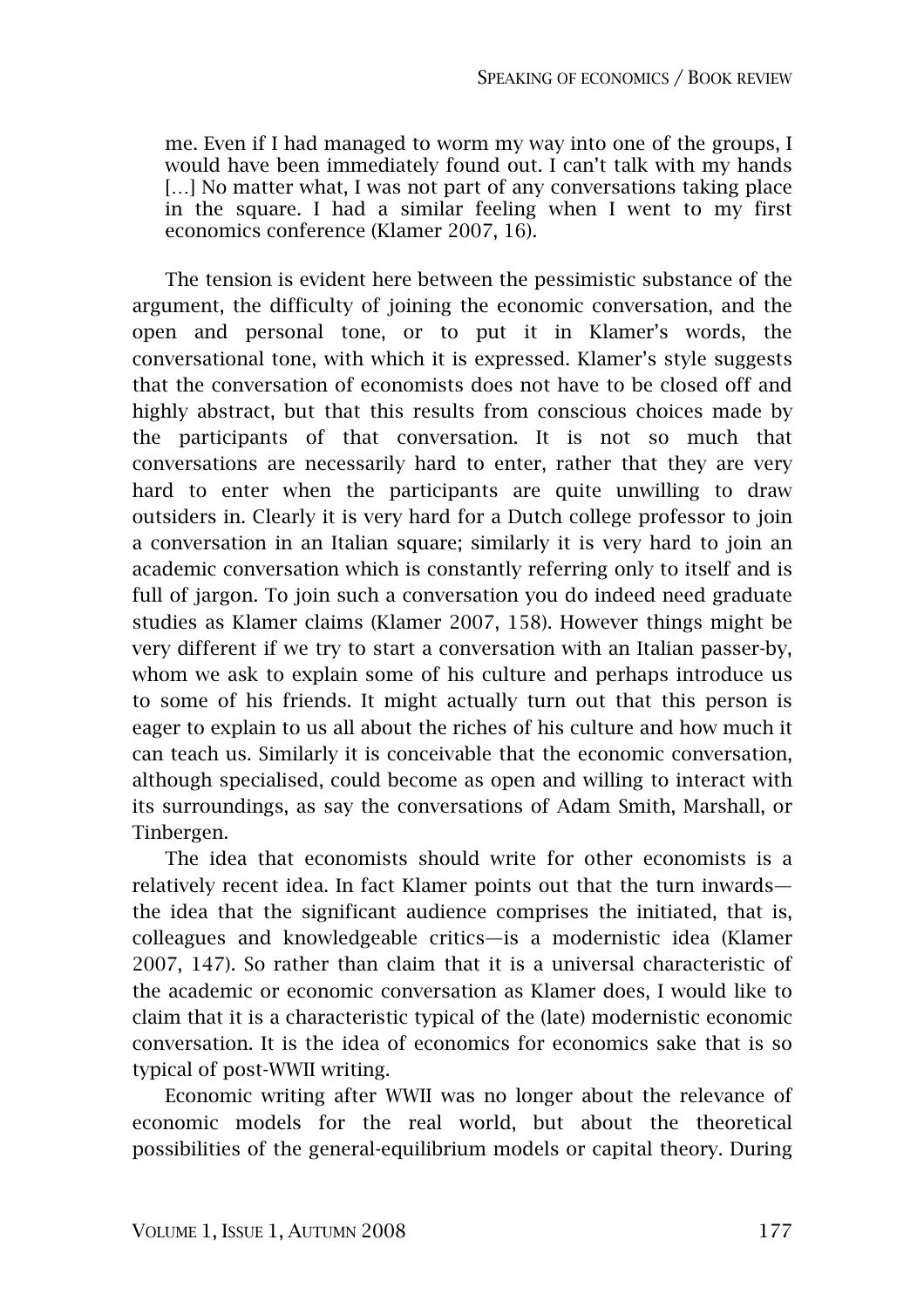me. Even if I had managed to worm my way into one of the groups, I would have been immediately found out. I can't talk with my hands [...] No matter what, I was not part of any conversations taking place in the square. I had a similar feeling when I went to my first economics conference (Klamer 2007, 16).

The tension is evident here between the pessimistic substance of the argument, the difficulty of joining the economic conversation, and the open and personal tone, or to put it in Klamer's words, the conversational tone, with which it is expressed. Klamer's style suggests that the conversation of economists does not have to be closed off and highly abstract, but that this results from conscious choices made by the participants of that conversation. It is not so much that conversations are necessarily hard to enter, rather that they are very hard to enter when the participants are quite unwilling to draw outsiders in. Clearly it is very hard for a Dutch college professor to join a conversation in an Italian square; similarly it is very hard to join an academic conversation which is constantly referring only to itself and is full of jargon. To join such a conversation you do indeed need graduate studies as Klamer claims (Klamer 2007, 158). However things might be very different if we try to start a conversation with an Italian passer-by, whom we ask to explain some of his culture and perhaps introduce us to some of his friends. It might actually turn out that this person is eager to explain to us all about the riches of his culture and how much it can teach us. Similarly it is conceivable that the economic conversation, although specialised, could become as open and willing to interact with its surroundings, as say the conversations of Adam Smith, Marshall, or Tinbergen.

The idea that economists should write for other economists is a relatively recent idea. In fact Klamer points out that the turn inwards the idea that the significant audience comprises the initiated, that is, colleagues and knowledgeable critics—is a modernistic idea (Klamer 2007, 147). So rather than claim that it is a universal characteristic of the academic or economic conversation as Klamer does, I would like to claim that it is a characteristic typical of the (late) modernistic economic conversation. It is the idea of economics for economics sake that is so typical of post-WWII writing.

Economic writing after WWII was no longer about the relevance of economic models for the real world, but about the theoretical possibilities of the general-equilibrium models or capital theory. During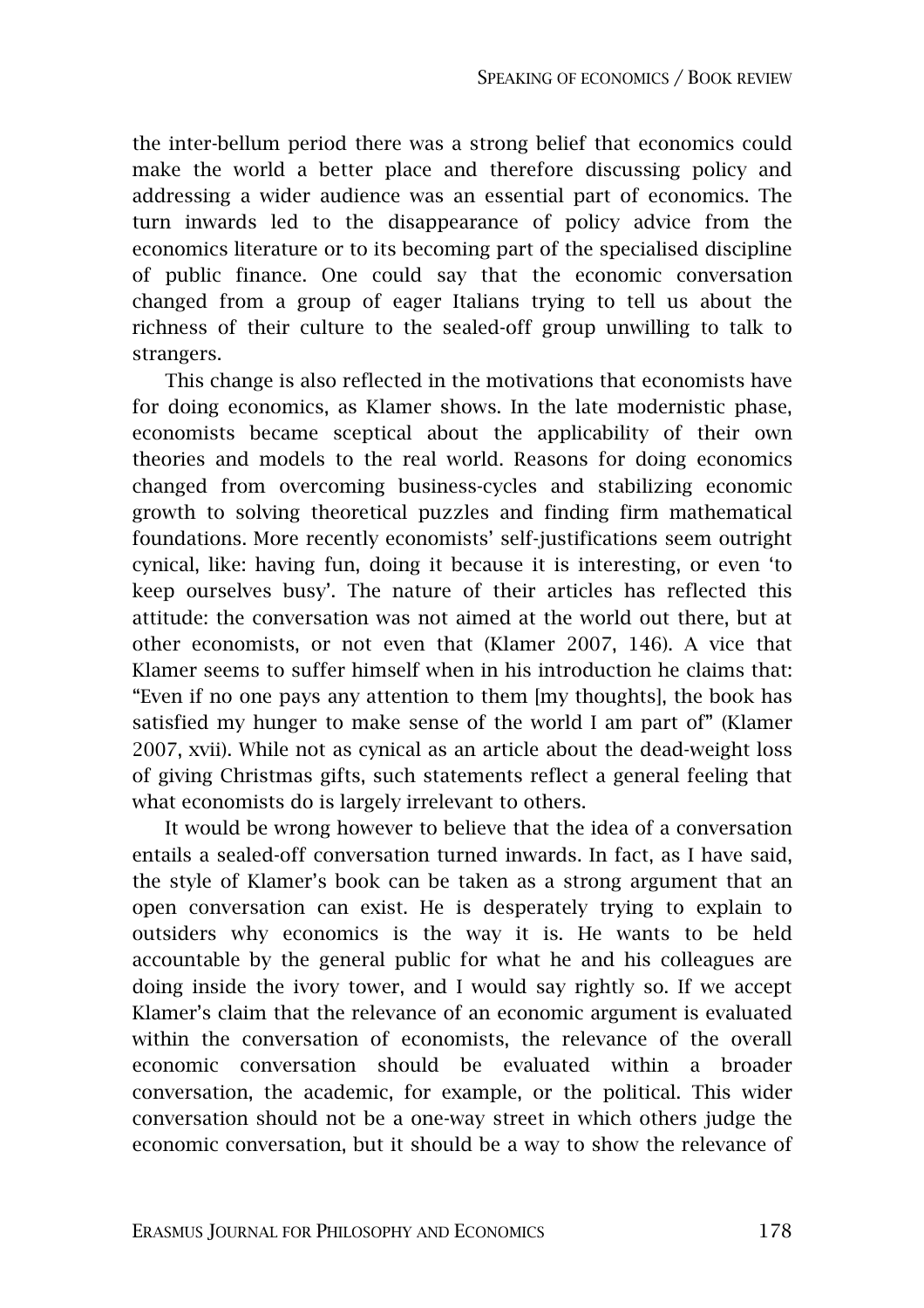the inter-bellum period there was a strong belief that economics could make the world a better place and therefore discussing policy and addressing a wider audience was an essential part of economics. The turn inwards led to the disappearance of policy advice from the economics literature or to its becoming part of the specialised discipline of public finance. One could say that the economic conversation changed from a group of eager Italians trying to tell us about the richness of their culture to the sealed-off group unwilling to talk to strangers.

This change is also reflected in the motivations that economists have for doing economics, as Klamer shows. In the late modernistic phase, economists became sceptical about the applicability of their own theories and models to the real world. Reasons for doing economics changed from overcoming business-cycles and stabilizing economic growth to solving theoretical puzzles and finding firm mathematical foundations. More recently economists' self-justifications seem outright cynical, like: having fun, doing it because it is interesting, or even 'to keep ourselves busy'. The nature of their articles has reflected this attitude: the conversation was not aimed at the world out there, but at other economists, or not even that (Klamer 2007, 146). A vice that Klamer seems to suffer himself when in his introduction he claims that: "Even if no one pays any attention to them [my thoughts], the book has satisfied my hunger to make sense of the world I am part of" (Klamer 2007, xvii). While not as cynical as an article about the dead-weight loss of giving Christmas gifts, such statements reflect a general feeling that what economists do is largely irrelevant to others.

It would be wrong however to believe that the idea of a conversation entails a sealed-off conversation turned inwards. In fact, as I have said, the style of Klamer's book can be taken as a strong argument that an open conversation can exist. He is desperately trying to explain to outsiders why economics is the way it is. He wants to be held accountable by the general public for what he and his colleagues are doing inside the ivory tower, and I would say rightly so. If we accept Klamer's claim that the relevance of an economic argument is evaluated within the conversation of economists, the relevance of the overall economic conversation should be evaluated within a broader conversation, the academic, for example, or the political. This wider conversation should not be a one-way street in which others judge the economic conversation, but it should be a way to show the relevance of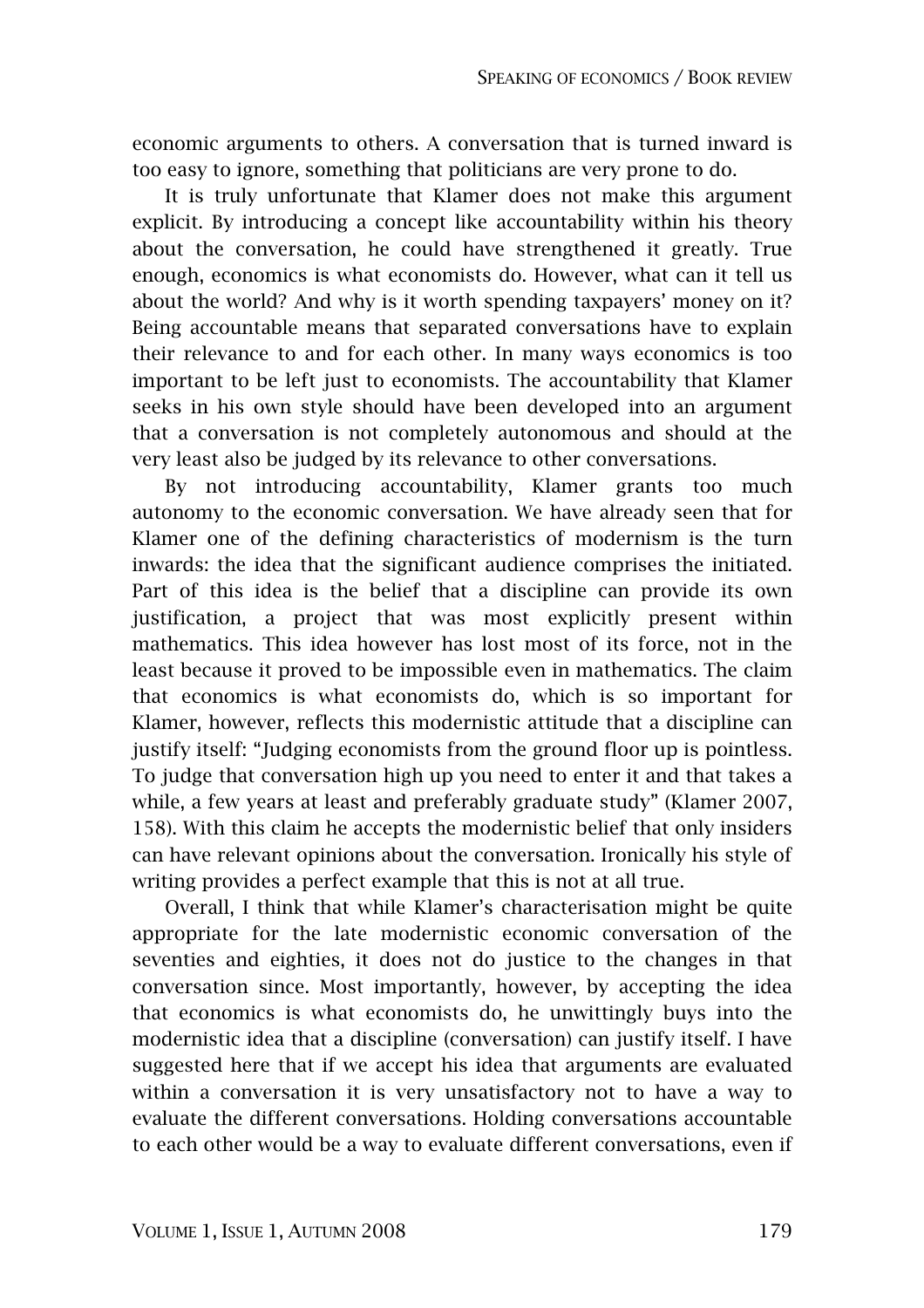economic arguments to others. A conversation that is turned inward is too easy to ignore, something that politicians are very prone to do.

It is truly unfortunate that Klamer does not make this argument explicit. By introducing a concept like accountability within his theory about the conversation, he could have strengthened it greatly. True enough, economics is what economists do. However, what can it tell us about the world? And why is it worth spending taxpayers' money on it? Being accountable means that separated conversations have to explain their relevance to and for each other. In many ways economics is too important to be left just to economists. The accountability that Klamer seeks in his own style should have been developed into an argument that a conversation is not completely autonomous and should at the very least also be judged by its relevance to other conversations.

By not introducing accountability, Klamer grants too much autonomy to the economic conversation. We have already seen that for Klamer one of the defining characteristics of modernism is the turn inwards: the idea that the significant audience comprises the initiated. Part of this idea is the belief that a discipline can provide its own justification, a project that was most explicitly present within mathematics. This idea however has lost most of its force, not in the least because it proved to be impossible even in mathematics. The claim that economics is what economists do, which is so important for Klamer, however, reflects this modernistic attitude that a discipline can justify itself: "Judging economists from the ground floor up is pointless. To judge that conversation high up you need to enter it and that takes a while, a few years at least and preferably graduate study" (Klamer 2007, 158). With this claim he accepts the modernistic belief that only insiders can have relevant opinions about the conversation. Ironically his style of writing provides a perfect example that this is not at all true.

Overall, I think that while Klamer's characterisation might be quite appropriate for the late modernistic economic conversation of the seventies and eighties, it does not do justice to the changes in that conversation since. Most importantly, however, by accepting the idea that economics is what economists do, he unwittingly buys into the modernistic idea that a discipline (conversation) can justify itself. I have suggested here that if we accept his idea that arguments are evaluated within a conversation it is very unsatisfactory not to have a way to evaluate the different conversations. Holding conversations accountable to each other would be a way to evaluate different conversations, even if